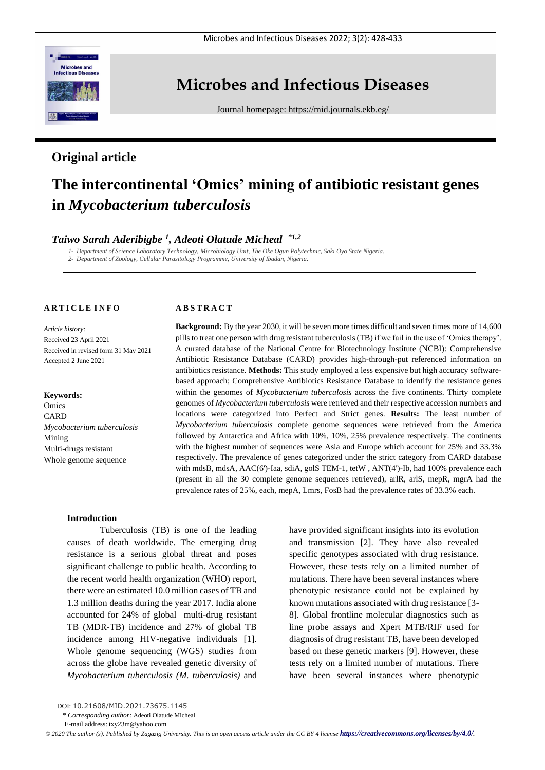

# **Microbes and Infectious Diseases**

Journal homepage:<https://mid.journals.ekb.eg/>

# **Original article**

# **The intercontinental 'Omics' mining of antibiotic resistant genes in** *Mycobacterium tuberculosis*

# *Taiwo Sarah Aderibigbe <sup>1</sup> , Adeoti Olatude Micheal \*1,2*

*1- Department of Science Laboratory Technology, Microbiology Unit, The Oke Ogun Polytechnic, Saki Oyo State Nigeria. 2- Department of Zoology, Cellular Parasitology Programme, University of Ibadan, Nigeria.*

# **A R T I C L E I N F O**

*Article history:*  Received 23 April 2021 Received in revised form 31 May 2021 Accepted 2 June 2021

# **Keywords:** Omics **CARD** *Mycobacterium tuberculosis* Mining Multi-drugs resistant Whole genome sequence

### **A B S T R A C T**

**Background:** By the year 2030, it will be seven more times difficult and seven times more of 14,600 pills to treat one person with drug resistant tuberculosis (TB) if we fail in the use of 'Omics therapy'. A curated database of the National Centre for Biotechnology Institute (NCBI): Comprehensive Antibiotic Resistance Database (CARD) provides high-through-put referenced information on antibiotics resistance. **Methods:** This study employed a less expensive but high accuracy softwarebased approach; Comprehensive Antibiotics Resistance Database to identify the resistance genes within the genomes of *Mycobacterium tuberculosis* across the five continents. Thirty complete genomes of *Mycobacterium tuberculosis* were retrieved and their respective accession numbers and locations were categorized into Perfect and Strict genes. **Results:** The least number of *Mycobacterium tuberculosis* complete genome sequences were retrieved from the America followed by Antarctica and Africa with 10%, 10%, 25% prevalence respectively. The continents with the highest number of sequences were Asia and Europe which account for 25% and 33.3% respectively. The prevalence of genes categorized under the strict category from CARD database with mdsB, mdsA, AAC(6')-Iaa, sdiA, golS TEM-1, tetW, ANT(4')-Ib, had 100% prevalence each (present in all the 30 complete genome sequences retrieved), arlR, arlS, mepR, mgrA had the prevalence rates of 25%, each, mepA, Lmrs, FosB had the prevalence rates of 33.3% each.

#### **Introduction**

Tuberculosis (TB) is one of the leading causes of death worldwide. The emerging drug resistance is a serious global threat and poses significant challenge to public health. According to the recent world health organization (WHO) report, there were an estimated 10.0 million cases of TB and 1.3 million deaths during the year 2017. India alone accounted for 24% of global multi-drug resistant TB (MDR-TB) incidence and 27% of global TB incidence among HIV-negative individuals [1]. Whole genome sequencing (WGS) studies from across the globe have revealed genetic diversity of *Mycobacterium tuberculosis (M. tuberculosis)* and have provided significant insights into its evolution and transmission [2]. They have also revealed specific genotypes associated with drug resistance. However, these tests rely on a limited number of mutations. There have been several instances where phenotypic resistance could not be explained by known mutations associated with drug resistance [3- 8]. Global frontline molecular diagnostics such as line probe assays and Xpert MTB/RIF used for diagnosis of drug resistant TB, have been developed based on these genetic markers [9]. However, these tests rely on a limited number of mutations. There have been several instances where phenotypic

\* *Corresponding author:* Adeoti Olatude Micheal

DOI: 10.21608/MID.2021.73675.1145

E-mail address: txy23m@yahoo.com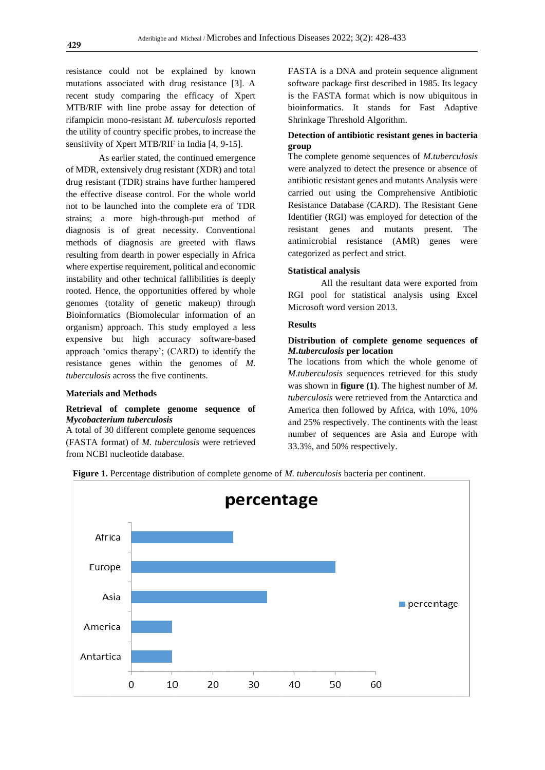resistance could not be explained by known mutations associated with drug resistance [3]. A recent study comparing the efficacy of Xpert MTB/RIF with line probe assay for detection of rifampicin mono-resistant *M. tuberculosis* reported the utility of country specific probes, to increase the sensitivity of Xpert MTB/RIF in India [4, 9-15].

As earlier stated, the continued emergence of MDR, extensively drug resistant (XDR) and total drug resistant (TDR) strains have further hampered the effective disease control. For the whole world not to be launched into the complete era of TDR strains; a more high-through-put method of diagnosis is of great necessity. Conventional methods of diagnosis are greeted with flaws resulting from dearth in power especially in Africa where expertise requirement, political and economic instability and other technical fallibilities is deeply rooted. Hence, the opportunities offered by whole genomes (totality of genetic makeup) through Bioinformatics (Biomolecular information of an organism) approach. This study employed a less expensive but high accuracy software-based approach 'omics therapy'; (CARD) to identify the resistance genes within the genomes of *M. tuberculosis* across the five continents.

#### **Materials and Methods**

# **Retrieval of complete genome sequence of**  *Mycobacterium tuberculosis*

A total of 30 different complete genome sequences (FASTA format) of *M. tuberculosis* were retrieved from NCBI nucleotide database.

FASTA is a DNA and protein sequence alignment software package first described in 1985. Its legacy is the FASTA format which is now ubiquitous in bioinformatics. It stands for Fast Adaptive Shrinkage Threshold Algorithm.

# **Detection of antibiotic resistant genes in bacteria group**

The complete genome sequences of *M.tuberculosis*  were analyzed to detect the presence or absence of antibiotic resistant genes and mutants Analysis were carried out using the Comprehensive Antibiotic Resistance Database (CARD). The Resistant Gene Identifier (RGI) was employed for detection of the resistant genes and mutants present. The antimicrobial resistance (AMR) genes were categorized as perfect and strict.

#### **Statistical analysis**

All the resultant data were exported from RGI pool for statistical analysis using Excel Microsoft word version 2013.

# **Results**

### **Distribution of complete genome sequences of**  *M.tuberculosis* **per location**

The locations from which the whole genome of *M.tuberculosis* sequences retrieved for this study was shown in **figure (1)**. The highest number of *M. tuberculosis* were retrieved from the Antarctica and America then followed by Africa, with 10%, 10% and 25% respectively. The continents with the least number of sequences are Asia and Europe with 33.3%, and 50% respectively.



 **Figure 1.** Percentage distribution of complete genome of *M. tuberculosis* bacteria per continent.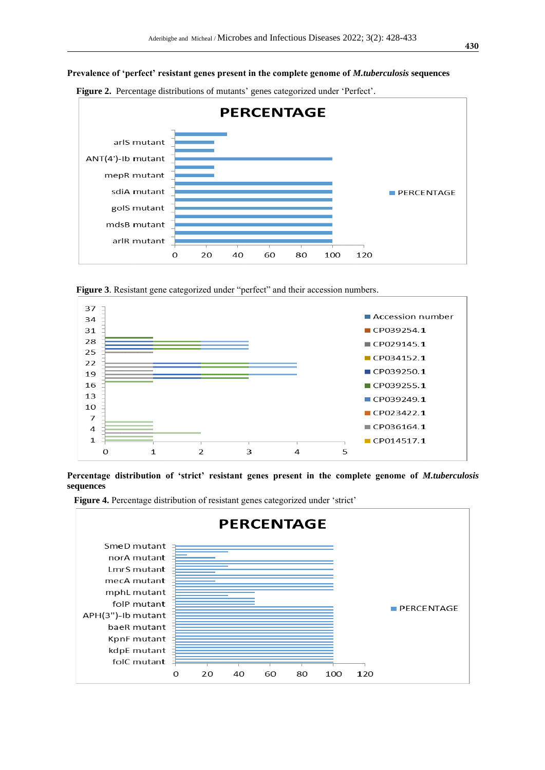## **Prevalence of 'perfect' resistant genes present in the complete genome of** *M.tuberculosis* **sequences**



 **Figure 2.** Percentage distributions of mutants' genes categorized under 'Perfect'.

 **Figure 3**. Resistant gene categorized under "perfect" and their accession numbers.



**Percentage distribution of 'strict' resistant genes present in the complete genome of** *M.tuberculosis* **sequences**



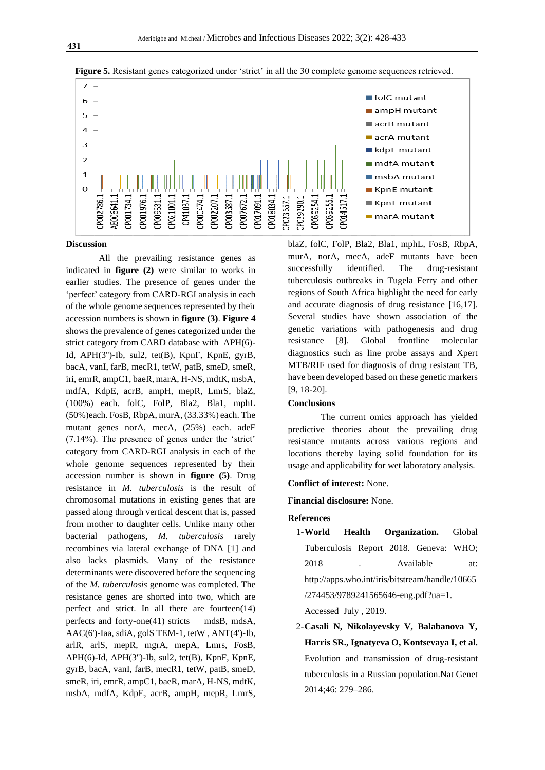

**Figure 5.** Resistant genes categorized under 'strict' in all the 30 complete genome sequences retrieved.

#### **Discussion**

All the prevailing resistance genes as indicated in **figure (2)** were similar to works in earlier studies. The presence of genes under the 'perfect' category from CARD-RGI analysis in each of the whole genome sequences represented by their accession numbers is shown in **figure (3)**. **Figure 4** shows the prevalence of genes categorized under the strict category from CARD database with APH(6)- Id, APH(3'')-Ib, sul2, tet(B), KpnF, KpnE, gyrB, bacA, vanI, farB, mecR1, tetW, patB, smeD, smeR, iri, emrR, ampC1, baeR, marA, H-NS, mdtK, msbA, mdfA, KdpE, acrB, ampH, mepR, LmrS, blaZ, (100%) each. folC, FolP, Bla2, Bla1, mphL (50%)each. FosB, RbpA, murA, (33.33%) each. The mutant genes norA, mecA, (25%) each. adeF (7.14%). The presence of genes under the 'strict' category from CARD-RGI analysis in each of the whole genome sequences represented by their accession number is shown in **figure (5)**. Drug resistance in *M. tuberculosis* is the result of chromosomal mutations in existing genes that are passed along through vertical descent that is, passed from mother to daughter cells. Unlike many other bacterial pathogens, *M. tuberculosis* rarely recombines via lateral exchange of DNA [1] and also lacks plasmids. Many of the resistance determinants were discovered before the sequencing of the *M. tuberculosis* genome was completed. The resistance genes are shorted into two, which are perfect and strict. In all there are fourteen(14) perfects and forty-one(41) stricts mdsB, mdsA, AAC(6')-Iaa, sdiA, golS TEM-1, tetW , ANT(4')-Ib, arlR, arlS, mepR, mgrA, mepA, Lmrs, FosB, APH(6)-Id, APH(3'')-Ib, sul2, tet(B), KpnF, KpnE, gyrB, bacA, vanI, farB, mecR1, tetW, patB, smeD, smeR, iri, emrR, ampC1, baeR, marA, H-NS, mdtK, msbA, mdfA, KdpE, acrB, ampH, mepR, LmrS,

blaZ, folC, FolP, Bla2, Bla1, mphL, FosB, RbpA, murA, norA, mecA, adeF mutants have been successfully identified. The drug-resistant tuberculosis outbreaks in Tugela Ferry and other regions of South Africa highlight the need for early and accurate diagnosis of drug resistance [16,17]. Several studies have shown association of the genetic variations with pathogenesis and drug resistance [8]. Global frontline molecular diagnostics such as line probe assays and Xpert MTB/RIF used for diagnosis of drug resistant TB, have been developed based on these genetic markers [9, 18-20].

#### **Conclusions**

The current omics approach has yielded predictive theories about the prevailing drug resistance mutants across various regions and locations thereby laying solid foundation for its usage and applicability for wet laboratory analysis.

#### **Conflict of interest:** None.

**Financial disclosure:** None.

#### **References**

1-**World Health Organization.** Global Tuberculosis Report 2018. Geneva: WHO; 2018 . Available at: http://apps.who.int/iris/bitstream/handle/10665 /274453/9789241565646-eng.pdf?ua=1.

Accessed July , 2019.

2-**Casali N, Nikolayevsky V, Balabanova Y, Harris SR., Ignatyeva O, [Kontsevaya I,](https://www.ncbi.nlm.nih.gov/pubmed/?term=Kontsevaya%20I%5BAuthor%5D&cauthor=true&cauthor_uid=24464101) et al.**  Evolution and transmission of drug-resistant tuberculosis in a Russian population.Nat Genet 2014;46: 279–286.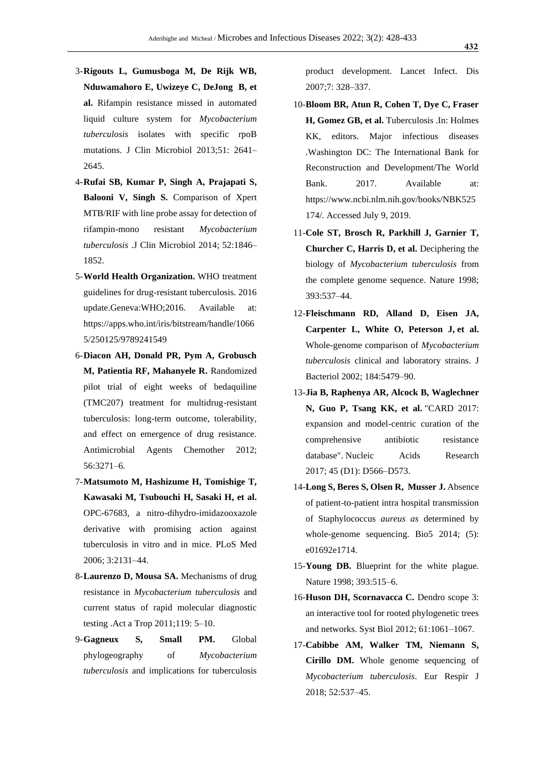- 3-**Rigouts L, Gumusboga M, De Rijk WB, Nduwamahoro E, Uwizeye C, DeJong B, et al.** Rifampin resistance missed in automated liquid culture system for *Mycobacterium tuberculosis* isolates with specific rpoB mutations. J Clin Microbiol 2013;51: 2641– 2645.
- 4-**Rufai SB, Kumar P, Singh A, Prajapati S, Balooni V, Singh S.** Comparison of Xpert MTB/RIF with line probe assay for detection of rifampin-mono resistant *Mycobacterium tuberculosis* .J Clin Microbiol 2014; 52:1846– 1852.
- 5-**World Health Organization.** WHO treatment guidelines for drug-resistant tuberculosis. 2016 update.Geneva:WHO;2016. Available at: https://apps.who.int/iris/bitstream/handle/1066 5/250125/9789241549
- 6-**Diacon AH, Donald PR, Pym A, Grobusch M, Patientia RF, Mahanyele R.** Randomized pilot trial of eight weeks of bedaquiline (TMC207) treatment for multidrug-resistant tuberculosis: long-term outcome, tolerability, and effect on emergence of drug resistance. Antimicrobial Agents Chemother 2012; 56:3271–6.
- 7-**Matsumoto M, Hashizume H, Tomishige T, Kawasaki M, Tsubouchi H, Sasaki H, et al.** OPC-67683, a nitro-dihydro-imidazooxazole derivative with promising action against tuberculosis in vitro and in mice. PLoS Med 2006; 3:2131–44.
- 8-**Laurenzo D, Mousa SA.** Mechanisms of drug resistance in *Mycobacterium tuberculosis* and current status of rapid molecular diagnostic testing .Act a Trop 2011;119: 5–10.
- 9-**Gagneux S, Small PM.** Global phylogeography of *Mycobacterium tuberculosis* and implications for tuberculosis

product development. Lancet Infect. Dis 2007;7: 328–337.

- 10-**Bloom BR, Atun R, Cohen T, Dye C, Fraser H, Gomez GB, et al.** Tuberculosis .In: Holmes KK, editors. Major infectious diseases .Washington DC: The International Bank for Reconstruction and Development/The World Bank. 2017. Available at: https://www.ncbi.nlm.nih.gov/books/NBK525 174/. Accessed July 9, 2019.
- 11-**Cole ST, Brosch R, Parkhill J, Garnier T, Churcher C, Harris D, et al.** Deciphering the biology of *Mycobacterium tuberculosis* from the complete genome sequence. Nature 1998; 393:537–44.
- 12-**Fleischmann RD, Alland D, Eisen JA, Carpenter L, White O, Peterson J, et al.** Whole-genome comparison of *Mycobacterium tuberculosis* clinical and laboratory strains. J Bacteriol 2002; 184:5479–90.
- 13-**Jia B, Raphenya AR, Alcock B, Waglechner N, Guo P, Tsang KK, et al.** ["CARD 2017:](https://www.ncbi.nlm.nih.gov/pmc/articles/PMC5210516)  [expansion and model-centric curation of the](https://www.ncbi.nlm.nih.gov/pmc/articles/PMC5210516)  [comprehensive antibiotic resistance](https://www.ncbi.nlm.nih.gov/pmc/articles/PMC5210516)  [database".](https://www.ncbi.nlm.nih.gov/pmc/articles/PMC5210516) Nucleic Acids Research 2017; 45 (D1): D566–D573.
- 14-**Long S, Beres S, Olsen R, Musser J.** Absence of patient-to-patient intra hospital transmission of Staphylococcus *aureus as* determined by whole-genome sequencing. Bio5 2014; (5): e01692e1714.
- 15-**Young DB.** Blueprint for the white plague. Nature 1998; 393:515–6.
- 16-**Huson DH, Scornavacca C.** Dendro scope 3: an interactive tool for rooted phylogenetic trees and networks. Syst Biol 2012; 61:1061–1067.
- 17-**Cabibbe AM, Walker TM, Niemann S, Cirillo DM.** Whole genome sequencing of *Mycobacterium tuberculosis*. Eur Respir J 2018; 52:537–45.